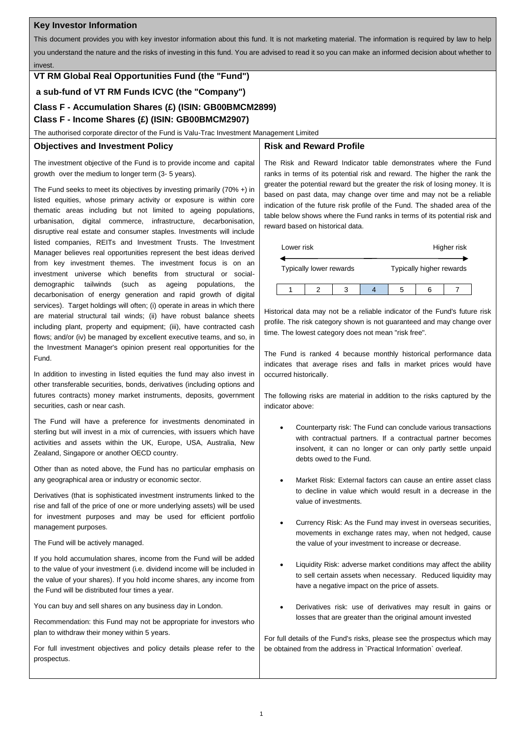### **Key Investor Information**

This document provides you with key investor information about this fund. It is not marketing material. The information is required by law to help you understand the nature and the risks of investing in this fund. You are advised to read it so you can make an informed decision about whether to invest.

# **VT RM Global Real Opportunities Fund (the "Fund")**

**a sub-fund of VT RM Funds ICVC (the "Company")**

# **Class F - Accumulation Shares (£) (ISIN: GB00BMCM2899)**

# **Class F - Income Shares (£) (ISIN: GB00BMCM2907)**

The authorised corporate director of the Fund is Valu-Trac Investment Management Limited

#### **Objectives and Investment Policy**

The investment objective of the Fund is to provide income and capital growth over the medium to longer term (3- 5 years).

The Fund seeks to meet its objectives by investing primarily (70% +) in listed equities, whose primary activity or exposure is within core thematic areas including but not limited to ageing populations, urbanisation, digital commerce, infrastructure, decarbonisation, disruptive real estate and consumer staples. Investments will include listed companies, REITs and Investment Trusts. The Investment Manager believes real opportunities represent the best ideas derived from key investment themes. The investment focus is on an investment universe which benefits from structural or socialdemographic tailwinds (such as ageing populations, the decarbonisation of energy generation and rapid growth of digital services). Target holdings will often; (i) operate in areas in which there are material structural tail winds; (ii) have robust balance sheets including plant, property and equipment; (iii), have contracted cash flows; and/or (iv) be managed by excellent executive teams, and so, in the Investment Manager's opinion present real opportunities for the Fund.

In addition to investing in listed equities the fund may also invest in other transferable securities, bonds, derivatives (including options and futures contracts) money market instruments, deposits, government securities, cash or near cash.

The Fund will have a preference for investments denominated in sterling but will invest in a mix of currencies, with issuers which have activities and assets within the UK, Europe, USA, Australia, New Zealand, Singapore or another OECD country.

Other than as noted above, the Fund has no particular emphasis on any geographical area or industry or economic sector.

Derivatives (that is sophisticated investment instruments linked to the rise and fall of the price of one or more underlying assets) will be used for investment purposes and may be used for efficient portfolio management purposes.

The Fund will be actively managed.

If you hold accumulation shares, income from the Fund will be added to the value of your investment (i.e. dividend income will be included in the value of your shares). If you hold income shares, any income from the Fund will be distributed four times a year.

You can buy and sell shares on any business day in London.

Recommendation: this Fund may not be appropriate for investors who plan to withdraw their money within 5 years.

For full investment objectives and policy details please refer to the prospectus.

# **Risk and Reward Profile**

The Risk and Reward Indicator table demonstrates where the Fund ranks in terms of its potential risk and reward. The higher the rank the greater the potential reward but the greater the risk of losing money. It is based on past data, may change over time and may not be a reliable indication of the future risk profile of the Fund. The shaded area of the table below shows where the Fund ranks in terms of its potential risk and reward based on historical data.

| Lower risk              |  |  | Higher risk              |  |  |
|-------------------------|--|--|--------------------------|--|--|
| Typically lower rewards |  |  | Typically higher rewards |  |  |
|                         |  |  |                          |  |  |

Historical data may not be a reliable indicator of the Fund's future risk profile. The risk category shown is not guaranteed and may change over time. The lowest category does not mean "risk free".

The Fund is ranked 4 because monthly historical performance data indicates that average rises and falls in market prices would have occurred historically.

The following risks are material in addition to the risks captured by the indicator above:

- Counterparty risk: The Fund can conclude various transactions with contractual partners. If a contractual partner becomes insolvent, it can no longer or can only partly settle unpaid debts owed to the Fund.
- Market Risk: External factors can cause an entire asset class to decline in value which would result in a decrease in the value of investments.
- Currency Risk: As the Fund may invest in overseas securities, movements in exchange rates may, when not hedged, cause the value of your investment to increase or decrease.
- Liquidity Risk: adverse market conditions may affect the ability to sell certain assets when necessary. Reduced liquidity may have a negative impact on the price of assets.
- Derivatives risk: use of derivatives may result in gains or losses that are greater than the original amount invested

For full details of the Fund's risks, please see the prospectus which may be obtained from the address in `Practical Information` overleaf.